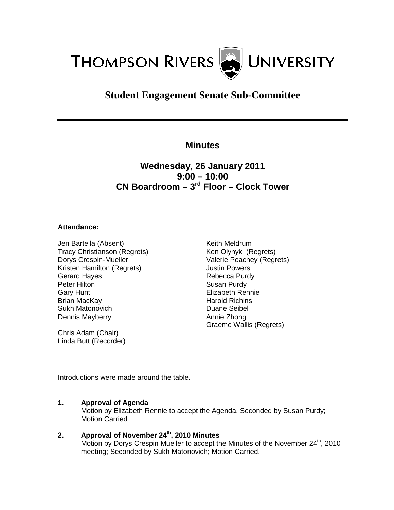

# **Student Engagement Senate Sub-Committee**

## **Minutes**

## **Wednesday, 26 January 2011 9:00 – 10:00 CN Boardroom – 3rd Floor – Clock Tower**

#### **Attendance:**

Jen Bartella (Absent) Tracy Christianson (Regrets) Dorys Crespin-Mueller Kristen Hamilton (Regrets) Gerard Hayes Peter Hilton Gary Hunt Brian MacKay Sukh Matonovich Dennis Mayberry

Chris Adam (Chair) Linda Butt (Recorder) Keith Meldrum Ken Olynyk (Regrets) Valerie Peachey (Regrets) Justin Powers Rebecca Purdy Susan Purdy Elizabeth Rennie Harold Richins Duane Seibel Annie Zhong Graeme Wallis (Regrets)

Introductions were made around the table.

#### **1. Approval of Agenda**

Motion by Elizabeth Rennie to accept the Agenda, Seconded by Susan Purdy; Motion Carried

### **2. Approval of November 24th, 2010 Minutes**

Motion by Dorys Crespin Mueller to accept the Minutes of the November 24<sup>th</sup>, 2010 meeting; Seconded by Sukh Matonovich; Motion Carried.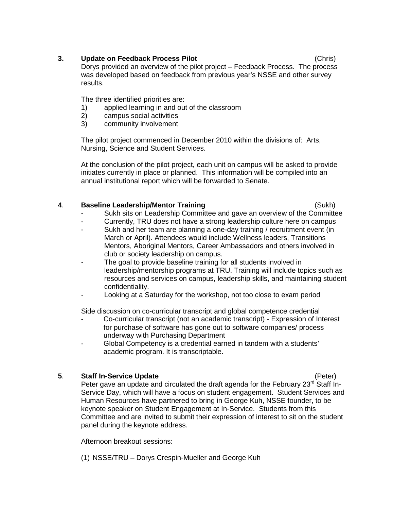#### **3. Update on Feedback Process Pilot** (Chris)

Dorys provided an overview of the pilot project – Feedback Process. The process was developed based on feedback from previous year's NSSE and other survey results.

The three identified priorities are:

- 1) applied learning in and out of the classroom<br>2) campus social activities
- 2) campus social activities<br>3) community involvement
- community involvement

The pilot project commenced in December 2010 within the divisions of: Arts, Nursing, Science and Student Services.

At the conclusion of the pilot project, each unit on campus will be asked to provide initiates currently in place or planned. This information will be compiled into an annual institutional report which will be forwarded to Senate.

### **4**. **Baseline Leadership/Mentor Training** (Sukh)

- Sukh sits on Leadership Committee and gave an overview of the Committee
- Currently, TRU does not have a strong leadership culture here on campus
- Sukh and her team are planning a one-day training / recruitment event (in March or April). Attendees would include Wellness leaders, Transitions Mentors, Aboriginal Mentors, Career Ambassadors and others involved in club or society leadership on campus.
- The goal to provide baseline training for all students involved in leadership/mentorship programs at TRU. Training will include topics such as resources and services on campus, leadership skills, and maintaining student confidentiality.
- Looking at a Saturday for the workshop, not too close to exam period

Side discussion on co-curricular transcript and global competence credential

- Co-curricular transcript (not an academic transcript) Expression of Interest for purchase of software has gone out to software companies/ process underway with Purchasing Department
- Global Competency is a credential earned in tandem with a students' academic program. It is transcriptable.

## **5**. **Staff In-Service Update** (Peter)

Peter gave an update and circulated the draft agenda for the February 23<sup>rd</sup> Staff In-Service Day, which will have a focus on student engagement. Student Services and Human Resources have partnered to bring in George Kuh, NSSE founder, to be keynote speaker on Student Engagement at In-Service. Students from this Committee and are invited to submit their expression of interest to sit on the student panel during the keynote address.

Afternoon breakout sessions:

(1) NSSE/TRU – Dorys Crespin-Mueller and George Kuh